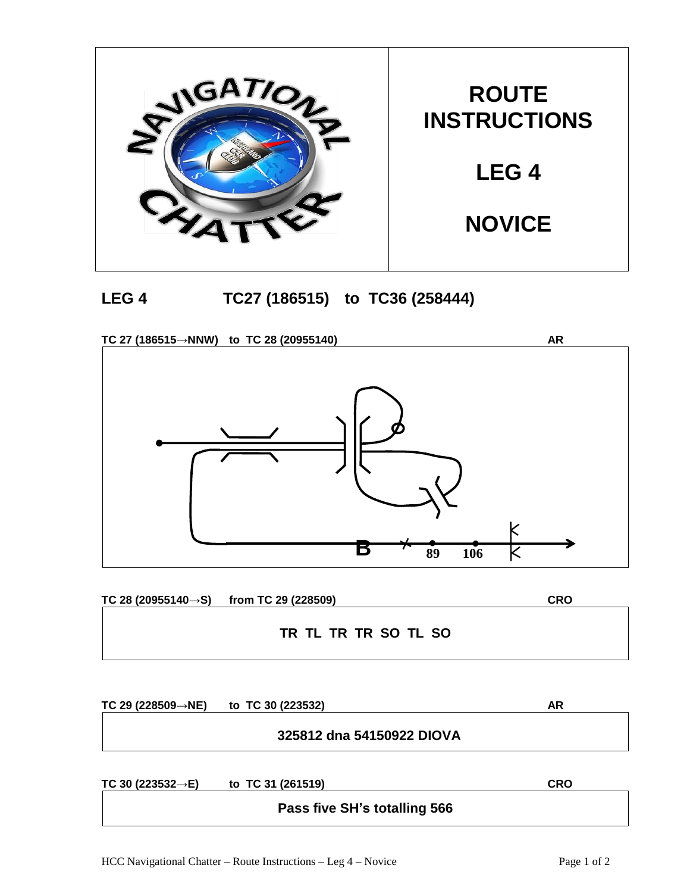



**TC 27 (186515→NNW) to TC 28 (20955140) AR**



**TC 28 (20955140→S) from TC 29 (228509) CRO**

**TR TL TR TR SO TL SO**

**TC 29 (228509→NE) to TC 30 (223532) AR**

## **325812 dna 54150922 DIOVA**

**TC 30 (223532→E) to TC 31 (261519) CRO**

**Pass five SH's totalling 566**